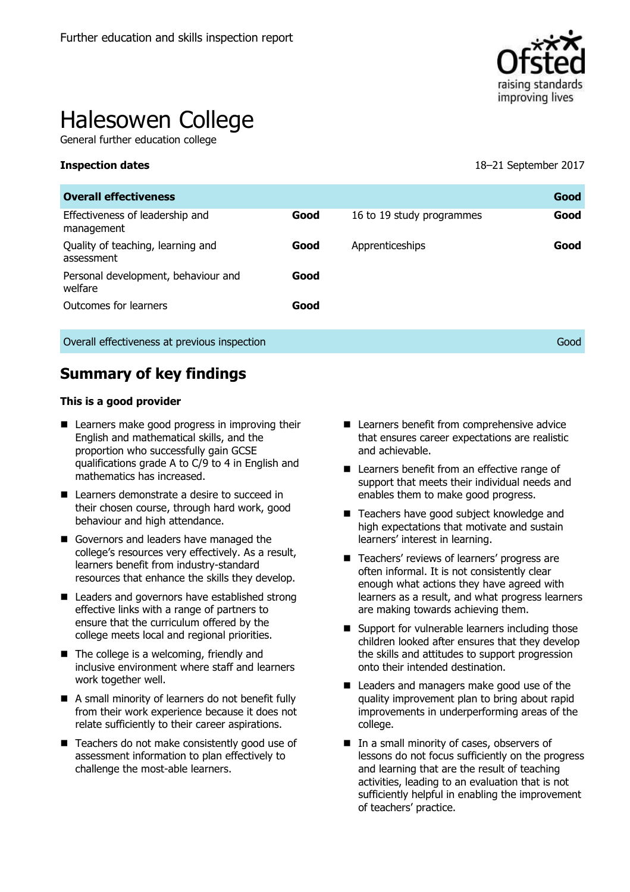

# Halesowen College

General further education college

**Inspection dates** 18–21 September 2017

| <b>Overall effectiveness</b>                    |      |                           | Good |
|-------------------------------------------------|------|---------------------------|------|
| Effectiveness of leadership and<br>management   | Good | 16 to 19 study programmes | Good |
| Quality of teaching, learning and<br>assessment | Good | Apprenticeships           | Good |
| Personal development, behaviour and<br>welfare  | Good |                           |      |
| Outcomes for learners                           | Good |                           |      |
| Overall effectiveness at previous inspection    |      |                           | Good |

# **Summary of key findings**

#### **This is a good provider**

- Learners make good progress in improving their English and mathematical skills, and the proportion who successfully gain GCSE qualifications grade A to C/9 to 4 in English and mathematics has increased.
- Learners demonstrate a desire to succeed in their chosen course, through hard work, good behaviour and high attendance.
- Governors and leaders have managed the college's resources very effectively. As a result, learners benefit from industry-standard resources that enhance the skills they develop.
- Leaders and governors have established strong effective links with a range of partners to ensure that the curriculum offered by the college meets local and regional priorities.
- The college is a welcoming, friendly and inclusive environment where staff and learners work together well.
- A small minority of learners do not benefit fully from their work experience because it does not relate sufficiently to their career aspirations.
- Teachers do not make consistently good use of assessment information to plan effectively to challenge the most-able learners.
- Learners benefit from comprehensive advice that ensures career expectations are realistic and achievable.
- Learners benefit from an effective range of support that meets their individual needs and enables them to make good progress.
- Teachers have good subject knowledge and high expectations that motivate and sustain learners' interest in learning.
- Teachers' reviews of learners' progress are often informal. It is not consistently clear enough what actions they have agreed with learners as a result, and what progress learners are making towards achieving them.
- Support for vulnerable learners including those children looked after ensures that they develop the skills and attitudes to support progression onto their intended destination.
- Leaders and managers make good use of the quality improvement plan to bring about rapid improvements in underperforming areas of the college.
- In a small minority of cases, observers of lessons do not focus sufficiently on the progress and learning that are the result of teaching activities, leading to an evaluation that is not sufficiently helpful in enabling the improvement of teachers' practice.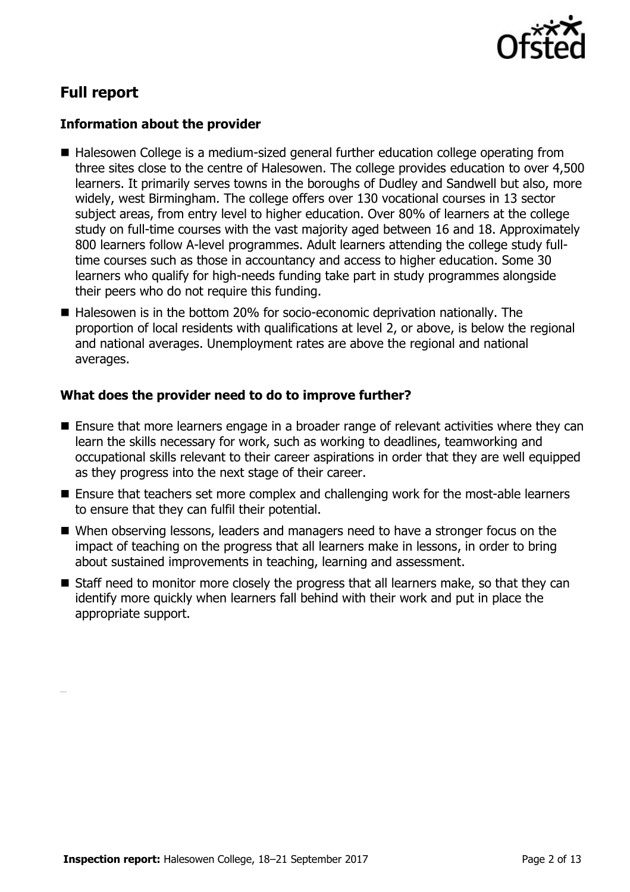

# **Full report**

#### **Information about the provider**

- Halesowen College is a medium-sized general further education college operating from three sites close to the centre of Halesowen. The college provides education to over 4,500 learners. It primarily serves towns in the boroughs of Dudley and Sandwell but also, more widely, west Birmingham. The college offers over 130 vocational courses in 13 sector subject areas, from entry level to higher education. Over 80% of learners at the college study on full-time courses with the vast majority aged between 16 and 18. Approximately 800 learners follow A-level programmes. Adult learners attending the college study fulltime courses such as those in accountancy and access to higher education. Some 30 learners who qualify for high-needs funding take part in study programmes alongside their peers who do not require this funding.
- Halesowen is in the bottom 20% for socio-economic deprivation nationally. The proportion of local residents with qualifications at level 2, or above, is below the regional and national averages. Unemployment rates are above the regional and national averages.

#### **What does the provider need to do to improve further?**

- Ensure that more learners engage in a broader range of relevant activities where they can learn the skills necessary for work, such as working to deadlines, teamworking and occupational skills relevant to their career aspirations in order that they are well equipped as they progress into the next stage of their career.
- Ensure that teachers set more complex and challenging work for the most-able learners to ensure that they can fulfil their potential.
- When observing lessons, leaders and managers need to have a stronger focus on the impact of teaching on the progress that all learners make in lessons, in order to bring about sustained improvements in teaching, learning and assessment.
- Staff need to monitor more closely the progress that all learners make, so that they can identify more quickly when learners fall behind with their work and put in place the appropriate support.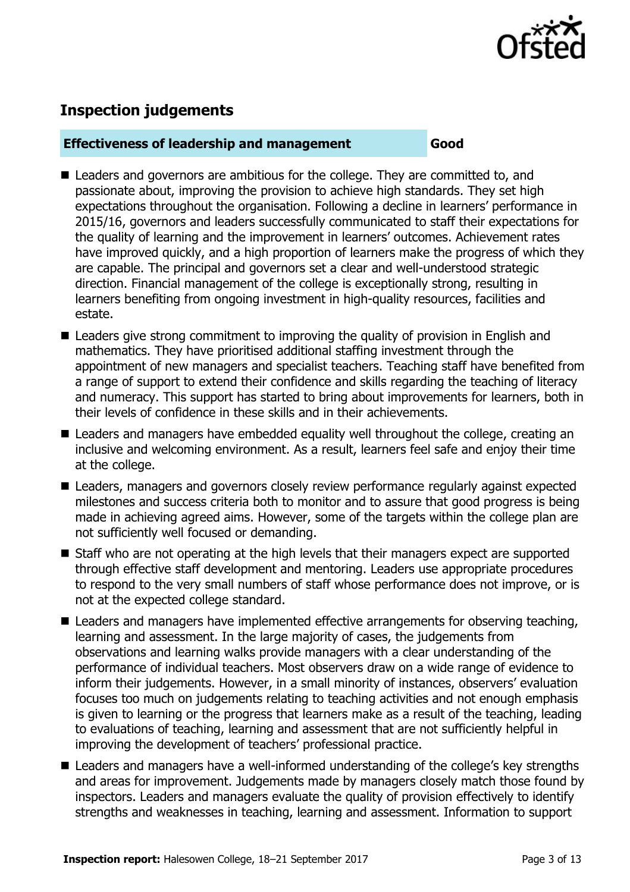

# **Inspection judgements**

#### **Effectiveness of leadership and management Good**

- Leaders and governors are ambitious for the college. They are committed to, and passionate about, improving the provision to achieve high standards. They set high expectations throughout the organisation. Following a decline in learners' performance in 2015/16, governors and leaders successfully communicated to staff their expectations for the quality of learning and the improvement in learners' outcomes. Achievement rates have improved quickly, and a high proportion of learners make the progress of which they are capable. The principal and governors set a clear and well-understood strategic direction. Financial management of the college is exceptionally strong, resulting in learners benefiting from ongoing investment in high-quality resources, facilities and estate.
- Leaders give strong commitment to improving the quality of provision in English and mathematics. They have prioritised additional staffing investment through the appointment of new managers and specialist teachers. Teaching staff have benefited from a range of support to extend their confidence and skills regarding the teaching of literacy and numeracy. This support has started to bring about improvements for learners, both in their levels of confidence in these skills and in their achievements.
- **E** Leaders and managers have embedded equality well throughout the college, creating an inclusive and welcoming environment. As a result, learners feel safe and enjoy their time at the college.
- Leaders, managers and governors closely review performance regularly against expected milestones and success criteria both to monitor and to assure that good progress is being made in achieving agreed aims. However, some of the targets within the college plan are not sufficiently well focused or demanding.
- Staff who are not operating at the high levels that their managers expect are supported through effective staff development and mentoring. Leaders use appropriate procedures to respond to the very small numbers of staff whose performance does not improve, or is not at the expected college standard.
- Leaders and managers have implemented effective arrangements for observing teaching, learning and assessment. In the large majority of cases, the judgements from observations and learning walks provide managers with a clear understanding of the performance of individual teachers. Most observers draw on a wide range of evidence to inform their judgements. However, in a small minority of instances, observers' evaluation focuses too much on judgements relating to teaching activities and not enough emphasis is given to learning or the progress that learners make as a result of the teaching, leading to evaluations of teaching, learning and assessment that are not sufficiently helpful in improving the development of teachers' professional practice.
- Leaders and managers have a well-informed understanding of the college's key strengths and areas for improvement. Judgements made by managers closely match those found by inspectors. Leaders and managers evaluate the quality of provision effectively to identify strengths and weaknesses in teaching, learning and assessment. Information to support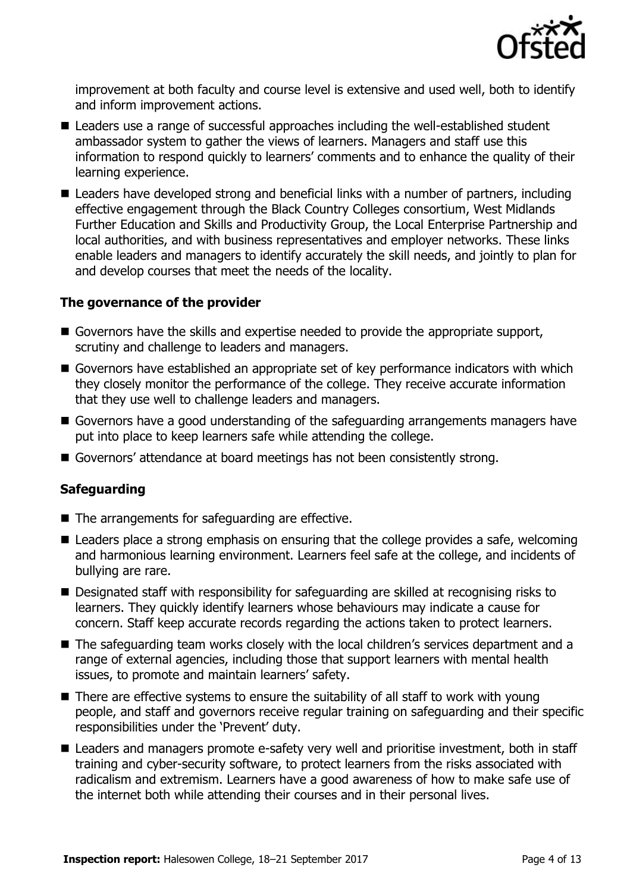

improvement at both faculty and course level is extensive and used well, both to identify and inform improvement actions.

- Leaders use a range of successful approaches including the well-established student ambassador system to gather the views of learners. Managers and staff use this information to respond quickly to learners' comments and to enhance the quality of their learning experience.
- Leaders have developed strong and beneficial links with a number of partners, including effective engagement through the Black Country Colleges consortium, West Midlands Further Education and Skills and Productivity Group, the Local Enterprise Partnership and local authorities, and with business representatives and employer networks. These links enable leaders and managers to identify accurately the skill needs, and jointly to plan for and develop courses that meet the needs of the locality.

#### **The governance of the provider**

- Governors have the skills and expertise needed to provide the appropriate support, scrutiny and challenge to leaders and managers.
- Governors have established an appropriate set of key performance indicators with which they closely monitor the performance of the college. They receive accurate information that they use well to challenge leaders and managers.
- Governors have a good understanding of the safeguarding arrangements managers have put into place to keep learners safe while attending the college.
- Governors' attendance at board meetings has not been consistently strong.

### **Safeguarding**

- $\blacksquare$  The arrangements for safeguarding are effective.
- Leaders place a strong emphasis on ensuring that the college provides a safe, welcoming and harmonious learning environment. Learners feel safe at the college, and incidents of bullying are rare.
- Designated staff with responsibility for safeguarding are skilled at recognising risks to learners. They quickly identify learners whose behaviours may indicate a cause for concern. Staff keep accurate records regarding the actions taken to protect learners.
- The safeguarding team works closely with the local children's services department and a range of external agencies, including those that support learners with mental health issues, to promote and maintain learners' safety.
- $\blacksquare$  There are effective systems to ensure the suitability of all staff to work with young people, and staff and governors receive regular training on safeguarding and their specific responsibilities under the 'Prevent' duty.
- Leaders and managers promote e-safety very well and prioritise investment, both in staff training and cyber-security software, to protect learners from the risks associated with radicalism and extremism. Learners have a good awareness of how to make safe use of the internet both while attending their courses and in their personal lives.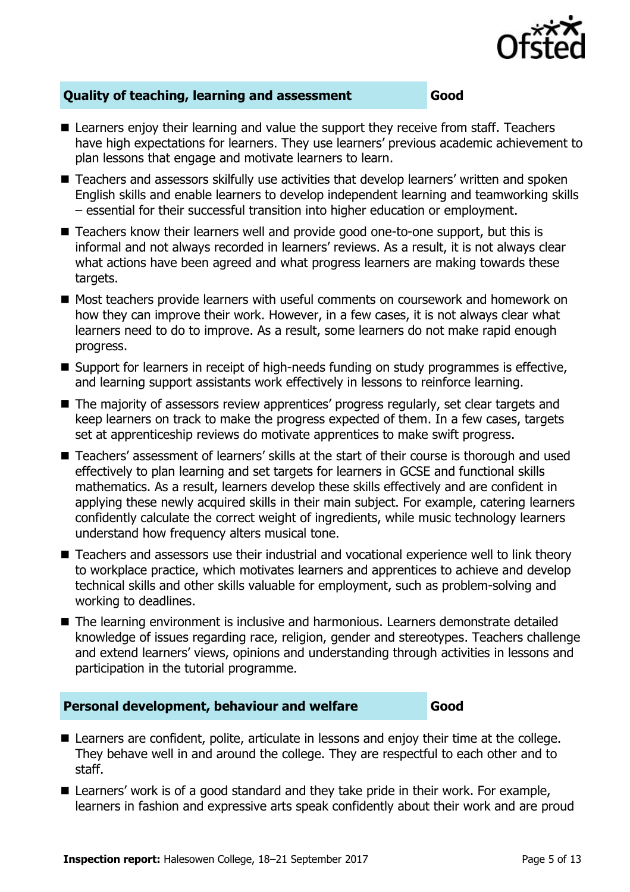

### **Quality of teaching, learning and assessment Good**

- Learners enjoy their learning and value the support they receive from staff. Teachers have high expectations for learners. They use learners' previous academic achievement to plan lessons that engage and motivate learners to learn.
- Teachers and assessors skilfully use activities that develop learners' written and spoken English skills and enable learners to develop independent learning and teamworking skills – essential for their successful transition into higher education or employment.
- Teachers know their learners well and provide good one-to-one support, but this is informal and not always recorded in learners' reviews. As a result, it is not always clear what actions have been agreed and what progress learners are making towards these targets.
- Most teachers provide learners with useful comments on coursework and homework on how they can improve their work. However, in a few cases, it is not always clear what learners need to do to improve. As a result, some learners do not make rapid enough progress.
- Support for learners in receipt of high-needs funding on study programmes is effective, and learning support assistants work effectively in lessons to reinforce learning.
- The majority of assessors review apprentices' progress regularly, set clear targets and keep learners on track to make the progress expected of them. In a few cases, targets set at apprenticeship reviews do motivate apprentices to make swift progress.
- Teachers' assessment of learners' skills at the start of their course is thorough and used effectively to plan learning and set targets for learners in GCSE and functional skills mathematics. As a result, learners develop these skills effectively and are confident in applying these newly acquired skills in their main subject. For example, catering learners confidently calculate the correct weight of ingredients, while music technology learners understand how frequency alters musical tone.
- Teachers and assessors use their industrial and vocational experience well to link theory to workplace practice, which motivates learners and apprentices to achieve and develop technical skills and other skills valuable for employment, such as problem-solving and working to deadlines.
- The learning environment is inclusive and harmonious. Learners demonstrate detailed knowledge of issues regarding race, religion, gender and stereotypes. Teachers challenge and extend learners' views, opinions and understanding through activities in lessons and participation in the tutorial programme.

### **Personal development, behaviour and welfare Good**

- Learners are confident, polite, articulate in lessons and enjoy their time at the college. They behave well in and around the college. They are respectful to each other and to staff.
- Learners' work is of a good standard and they take pride in their work. For example, learners in fashion and expressive arts speak confidently about their work and are proud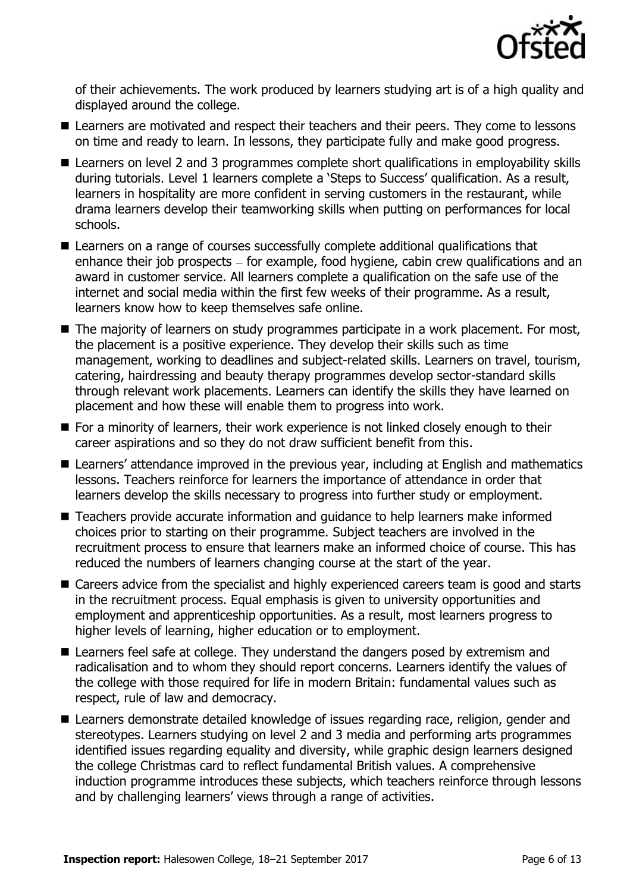

of their achievements. The work produced by learners studying art is of a high quality and displayed around the college.

- Learners are motivated and respect their teachers and their peers. They come to lessons on time and ready to learn. In lessons, they participate fully and make good progress.
- Learners on level 2 and 3 programmes complete short qualifications in employability skills during tutorials. Level 1 learners complete a 'Steps to Success' qualification. As a result, learners in hospitality are more confident in serving customers in the restaurant, while drama learners develop their teamworking skills when putting on performances for local schools.
- Learners on a range of courses successfully complete additional qualifications that enhance their job prospects  $-$  for example, food hygiene, cabin crew qualifications and an award in customer service. All learners complete a qualification on the safe use of the internet and social media within the first few weeks of their programme. As a result, learners know how to keep themselves safe online.
- The majority of learners on study programmes participate in a work placement. For most, the placement is a positive experience. They develop their skills such as time management, working to deadlines and subject-related skills. Learners on travel, tourism, catering, hairdressing and beauty therapy programmes develop sector-standard skills through relevant work placements. Learners can identify the skills they have learned on placement and how these will enable them to progress into work.
- For a minority of learners, their work experience is not linked closely enough to their career aspirations and so they do not draw sufficient benefit from this.
- Learners' attendance improved in the previous year, including at English and mathematics lessons. Teachers reinforce for learners the importance of attendance in order that learners develop the skills necessary to progress into further study or employment.
- Teachers provide accurate information and quidance to help learners make informed choices prior to starting on their programme. Subject teachers are involved in the recruitment process to ensure that learners make an informed choice of course. This has reduced the numbers of learners changing course at the start of the year.
- Careers advice from the specialist and highly experienced careers team is good and starts in the recruitment process. Equal emphasis is given to university opportunities and employment and apprenticeship opportunities. As a result, most learners progress to higher levels of learning, higher education or to employment.
- Learners feel safe at college. They understand the dangers posed by extremism and radicalisation and to whom they should report concerns. Learners identify the values of the college with those required for life in modern Britain: fundamental values such as respect, rule of law and democracy.
- Learners demonstrate detailed knowledge of issues regarding race, religion, gender and stereotypes. Learners studying on level 2 and 3 media and performing arts programmes identified issues regarding equality and diversity, while graphic design learners designed the college Christmas card to reflect fundamental British values. A comprehensive induction programme introduces these subjects, which teachers reinforce through lessons and by challenging learners' views through a range of activities.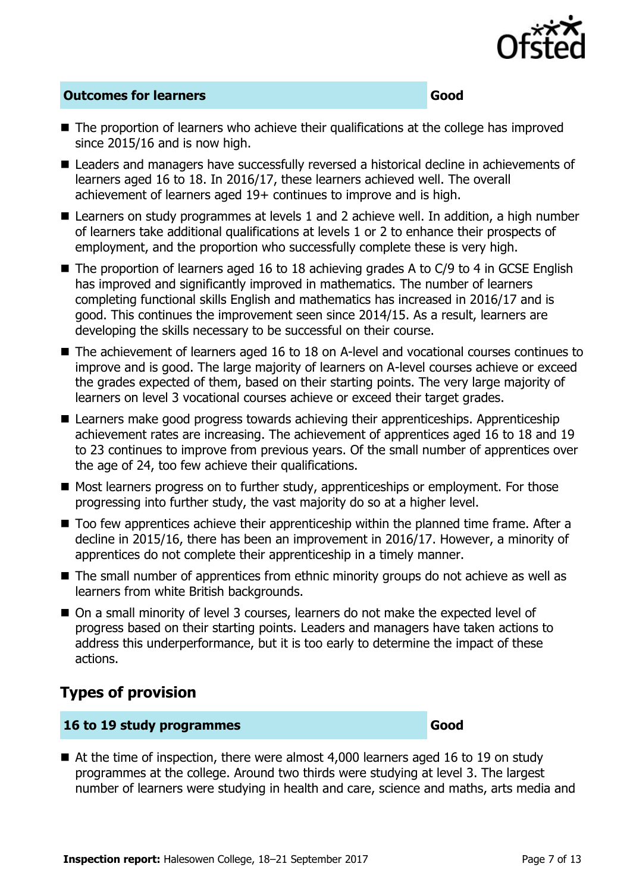

### **Outcomes for learners Good**

- The proportion of learners who achieve their qualifications at the college has improved since 2015/16 and is now high.
- Leaders and managers have successfully reversed a historical decline in achievements of learners aged 16 to 18. In 2016/17, these learners achieved well. The overall achievement of learners aged 19+ continues to improve and is high.
- Learners on study programmes at levels 1 and 2 achieve well. In addition, a high number of learners take additional qualifications at levels 1 or 2 to enhance their prospects of employment, and the proportion who successfully complete these is very high.
- $\blacksquare$  The proportion of learners aged 16 to 18 achieving grades A to C/9 to 4 in GCSE English has improved and significantly improved in mathematics. The number of learners completing functional skills English and mathematics has increased in 2016/17 and is good. This continues the improvement seen since 2014/15. As a result, learners are developing the skills necessary to be successful on their course.
- The achievement of learners aged 16 to 18 on A-level and vocational courses continues to improve and is good. The large majority of learners on A-level courses achieve or exceed the grades expected of them, based on their starting points. The very large majority of learners on level 3 vocational courses achieve or exceed their target grades.
- Learners make good progress towards achieving their apprenticeships. Apprenticeship achievement rates are increasing. The achievement of apprentices aged 16 to 18 and 19 to 23 continues to improve from previous years. Of the small number of apprentices over the age of 24, too few achieve their qualifications.
- Most learners progress on to further study, apprenticeships or employment. For those progressing into further study, the vast majority do so at a higher level.
- Too few apprentices achieve their apprenticeship within the planned time frame. After a decline in 2015/16, there has been an improvement in 2016/17. However, a minority of apprentices do not complete their apprenticeship in a timely manner.
- The small number of apprentices from ethnic minority groups do not achieve as well as learners from white British backgrounds.
- On a small minority of level 3 courses, learners do not make the expected level of progress based on their starting points. Leaders and managers have taken actions to address this underperformance, but it is too early to determine the impact of these actions.

# **Types of provision**

#### **16 to 19 study programmes Good**

■ At the time of inspection, there were almost 4,000 learners aged 16 to 19 on study programmes at the college. Around two thirds were studying at level 3. The largest number of learners were studying in health and care, science and maths, arts media and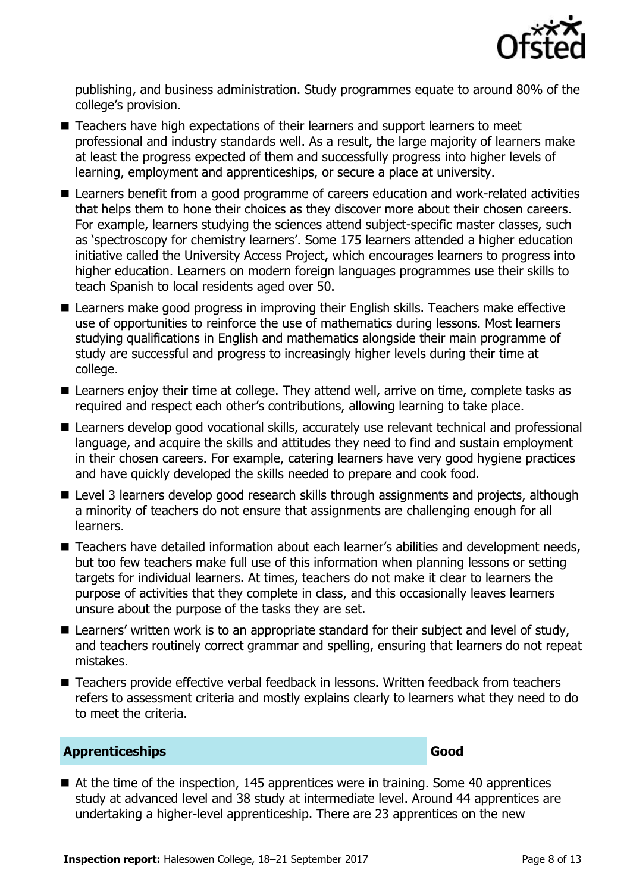

publishing, and business administration. Study programmes equate to around 80% of the college's provision.

- Teachers have high expectations of their learners and support learners to meet professional and industry standards well. As a result, the large majority of learners make at least the progress expected of them and successfully progress into higher levels of learning, employment and apprenticeships, or secure a place at university.
- Learners benefit from a good programme of careers education and work-related activities that helps them to hone their choices as they discover more about their chosen careers. For example, learners studying the sciences attend subject-specific master classes, such as 'spectroscopy for chemistry learners'. Some 175 learners attended a higher education initiative called the University Access Project, which encourages learners to progress into higher education. Learners on modern foreign languages programmes use their skills to teach Spanish to local residents aged over 50.
- Learners make good progress in improving their English skills. Teachers make effective use of opportunities to reinforce the use of mathematics during lessons. Most learners studying qualifications in English and mathematics alongside their main programme of study are successful and progress to increasingly higher levels during their time at college.
- Learners enjoy their time at college. They attend well, arrive on time, complete tasks as required and respect each other's contributions, allowing learning to take place.
- Learners develop good vocational skills, accurately use relevant technical and professional language, and acquire the skills and attitudes they need to find and sustain employment in their chosen careers. For example, catering learners have very good hygiene practices and have quickly developed the skills needed to prepare and cook food.
- Level 3 learners develop good research skills through assignments and projects, although a minority of teachers do not ensure that assignments are challenging enough for all learners.
- Teachers have detailed information about each learner's abilities and development needs, but too few teachers make full use of this information when planning lessons or setting targets for individual learners. At times, teachers do not make it clear to learners the purpose of activities that they complete in class, and this occasionally leaves learners unsure about the purpose of the tasks they are set.
- Learners' written work is to an appropriate standard for their subject and level of study, and teachers routinely correct grammar and spelling, ensuring that learners do not repeat mistakes.
- Teachers provide effective verbal feedback in lessons. Written feedback from teachers refers to assessment criteria and mostly explains clearly to learners what they need to do to meet the criteria.

#### **Apprenticeships Good**

■ At the time of the inspection, 145 apprentices were in training. Some 40 apprentices study at advanced level and 38 study at intermediate level. Around 44 apprentices are undertaking a higher-level apprenticeship. There are 23 apprentices on the new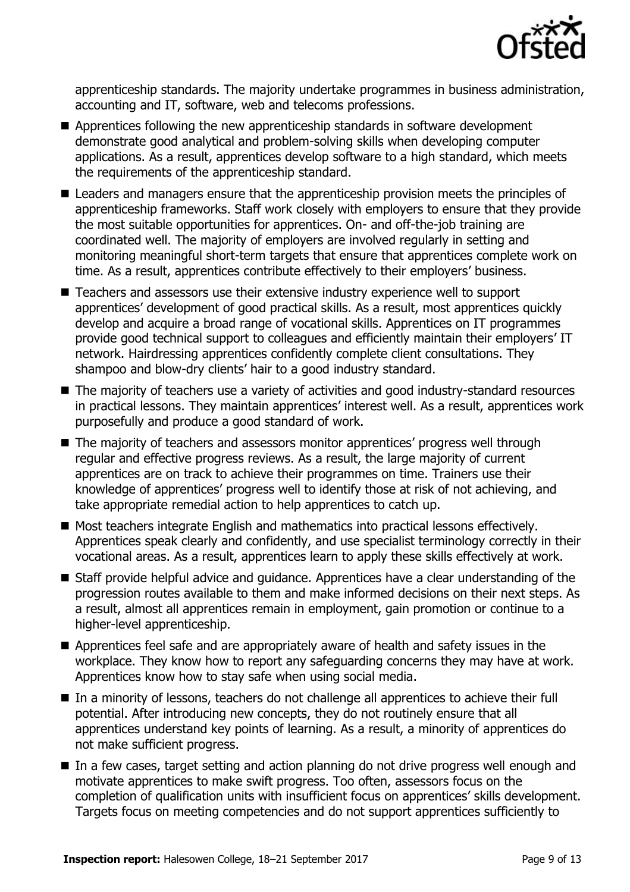

apprenticeship standards. The majority undertake programmes in business administration, accounting and IT, software, web and telecoms professions.

- Apprentices following the new apprenticeship standards in software development demonstrate good analytical and problem-solving skills when developing computer applications. As a result, apprentices develop software to a high standard, which meets the requirements of the apprenticeship standard.
- Leaders and managers ensure that the apprenticeship provision meets the principles of apprenticeship frameworks. Staff work closely with employers to ensure that they provide the most suitable opportunities for apprentices. On- and off-the-job training are coordinated well. The majority of employers are involved regularly in setting and monitoring meaningful short-term targets that ensure that apprentices complete work on time. As a result, apprentices contribute effectively to their employers' business.
- Teachers and assessors use their extensive industry experience well to support apprentices' development of good practical skills. As a result, most apprentices quickly develop and acquire a broad range of vocational skills. Apprentices on IT programmes provide good technical support to colleagues and efficiently maintain their employers' IT network. Hairdressing apprentices confidently complete client consultations. They shampoo and blow-dry clients' hair to a good industry standard.
- The majority of teachers use a variety of activities and good industry-standard resources in practical lessons. They maintain apprentices' interest well. As a result, apprentices work purposefully and produce a good standard of work.
- The majority of teachers and assessors monitor apprentices' progress well through regular and effective progress reviews. As a result, the large majority of current apprentices are on track to achieve their programmes on time. Trainers use their knowledge of apprentices' progress well to identify those at risk of not achieving, and take appropriate remedial action to help apprentices to catch up.
- Most teachers integrate English and mathematics into practical lessons effectively. Apprentices speak clearly and confidently, and use specialist terminology correctly in their vocational areas. As a result, apprentices learn to apply these skills effectively at work.
- Staff provide helpful advice and quidance. Apprentices have a clear understanding of the progression routes available to them and make informed decisions on their next steps. As a result, almost all apprentices remain in employment, gain promotion or continue to a higher-level apprenticeship.
- Apprentices feel safe and are appropriately aware of health and safety issues in the workplace. They know how to report any safeguarding concerns they may have at work. Apprentices know how to stay safe when using social media.
- In a minority of lessons, teachers do not challenge all apprentices to achieve their full potential. After introducing new concepts, they do not routinely ensure that all apprentices understand key points of learning. As a result, a minority of apprentices do not make sufficient progress.
- In a few cases, target setting and action planning do not drive progress well enough and motivate apprentices to make swift progress. Too often, assessors focus on the completion of qualification units with insufficient focus on apprentices' skills development. Targets focus on meeting competencies and do not support apprentices sufficiently to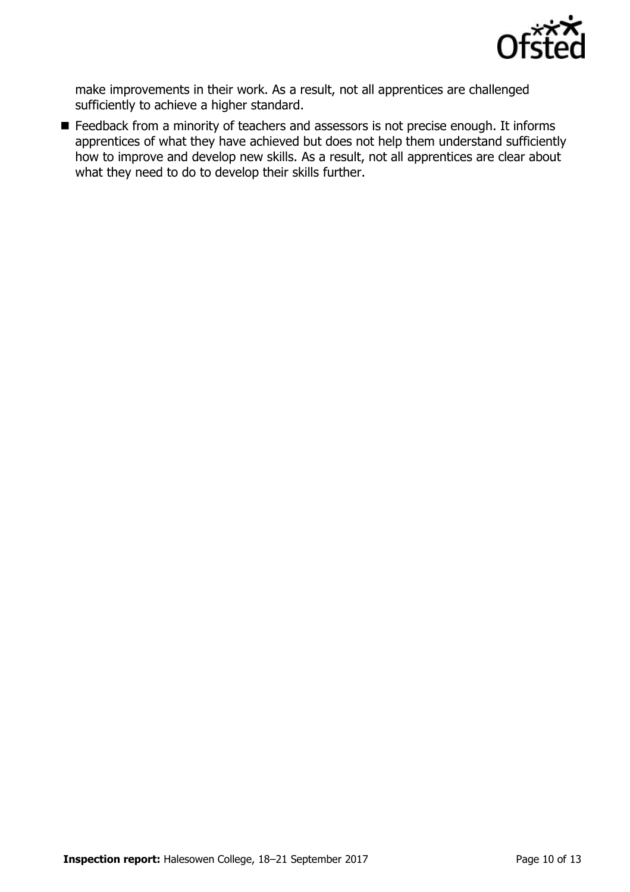

make improvements in their work. As a result, not all apprentices are challenged sufficiently to achieve a higher standard.

■ Feedback from a minority of teachers and assessors is not precise enough. It informs apprentices of what they have achieved but does not help them understand sufficiently how to improve and develop new skills. As a result, not all apprentices are clear about what they need to do to develop their skills further.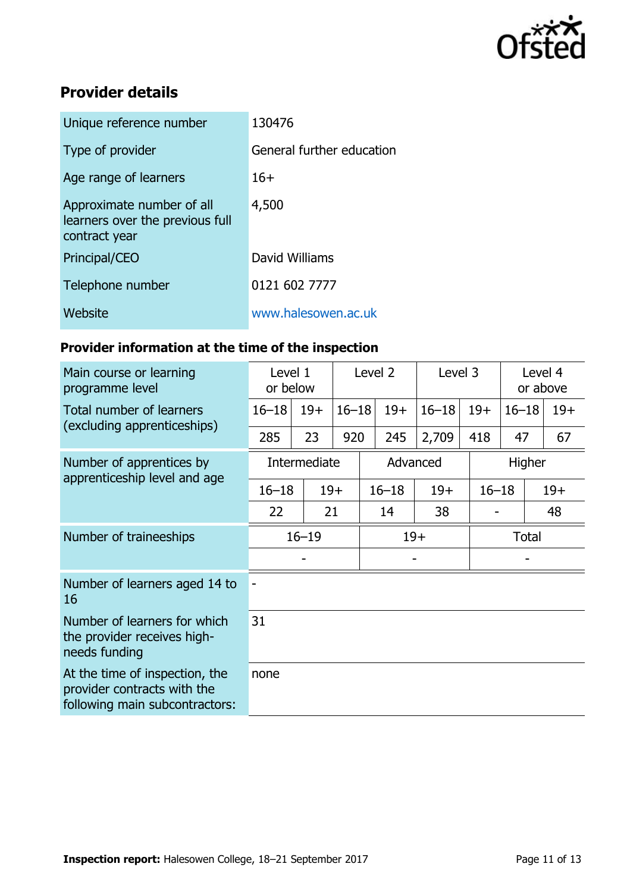

# **Provider details**

| Unique reference number                                                       | 130476                    |
|-------------------------------------------------------------------------------|---------------------------|
| Type of provider                                                              | General further education |
| Age range of learners                                                         | $16+$                     |
| Approximate number of all<br>learners over the previous full<br>contract year | 4,500                     |
| Principal/CEO                                                                 | David Williams            |
| Telephone number                                                              | 0121 602 7777             |
| Website                                                                       | www.halesowen.ac.uk       |

# **Provider information at the time of the inspection**

| Main course or learning<br>programme level                                                      | Level 1<br>or below |       | Level 2   |           | Level 3   |           | Level 4<br>or above |       |  |
|-------------------------------------------------------------------------------------------------|---------------------|-------|-----------|-----------|-----------|-----------|---------------------|-------|--|
| Total number of learners<br>(excluding apprenticeships)                                         | $16 - 18$           | $19+$ | $16 - 18$ | $19+$     | $16 - 18$ | $19+$     | $16 - 18$           | $19+$ |  |
|                                                                                                 | 285                 | 23    | 920       | 245       | 2,709     | 418       | 47                  | 67    |  |
| Number of apprentices by<br>apprenticeship level and age                                        | Intermediate        |       | Advanced  |           |           |           | Higher              |       |  |
|                                                                                                 | $16 - 18$           |       | $19+$     | $16 - 18$ | $19+$     | $16 - 18$ |                     | $19+$ |  |
|                                                                                                 | 22                  | 21    |           | 14        | 38        |           |                     | 48    |  |
| Number of traineeships                                                                          | $16 - 19$           |       |           | $19+$     |           |           | <b>Total</b>        |       |  |
|                                                                                                 |                     |       |           |           |           |           |                     |       |  |
| Number of learners aged 14 to<br>16                                                             |                     |       |           |           |           |           |                     |       |  |
| Number of learners for which<br>the provider receives high-<br>needs funding                    | 31                  |       |           |           |           |           |                     |       |  |
| At the time of inspection, the<br>provider contracts with the<br>following main subcontractors: | none                |       |           |           |           |           |                     |       |  |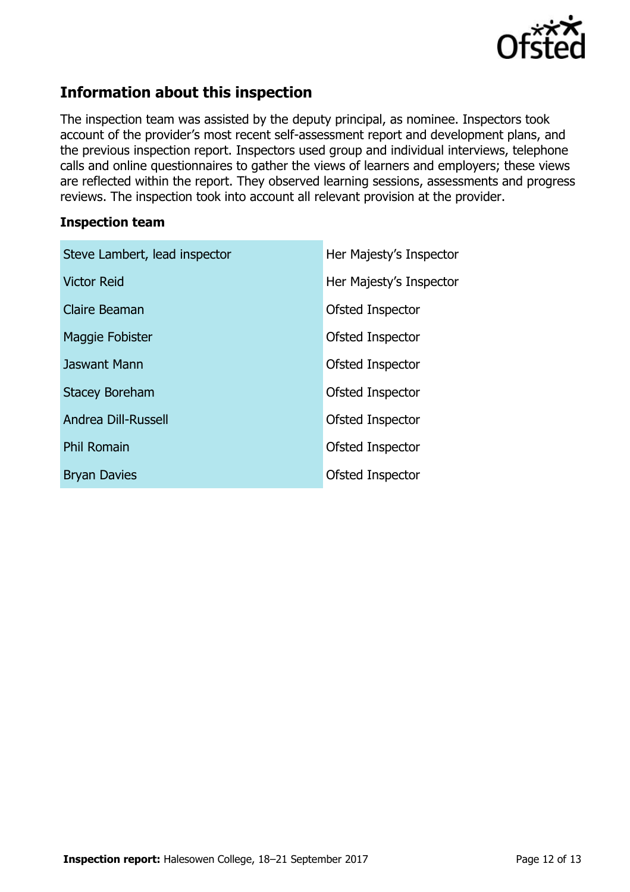

# **Information about this inspection**

The inspection team was assisted by the deputy principal, as nominee. Inspectors took account of the provider's most recent self-assessment report and development plans, and the previous inspection report. Inspectors used group and individual interviews, telephone calls and online questionnaires to gather the views of learners and employers; these views are reflected within the report. They observed learning sessions, assessments and progress reviews. The inspection took into account all relevant provision at the provider.

#### **Inspection team**

| Steve Lambert, lead inspector | Her Majesty's Inspector |
|-------------------------------|-------------------------|
| <b>Victor Reid</b>            | Her Majesty's Inspector |
| Claire Beaman                 | Ofsted Inspector        |
| Maggie Fobister               | Ofsted Inspector        |
| Jaswant Mann                  | Ofsted Inspector        |
| <b>Stacey Boreham</b>         | Ofsted Inspector        |
| <b>Andrea Dill-Russell</b>    | Ofsted Inspector        |
| <b>Phil Romain</b>            | Ofsted Inspector        |
| <b>Bryan Davies</b>           | Ofsted Inspector        |